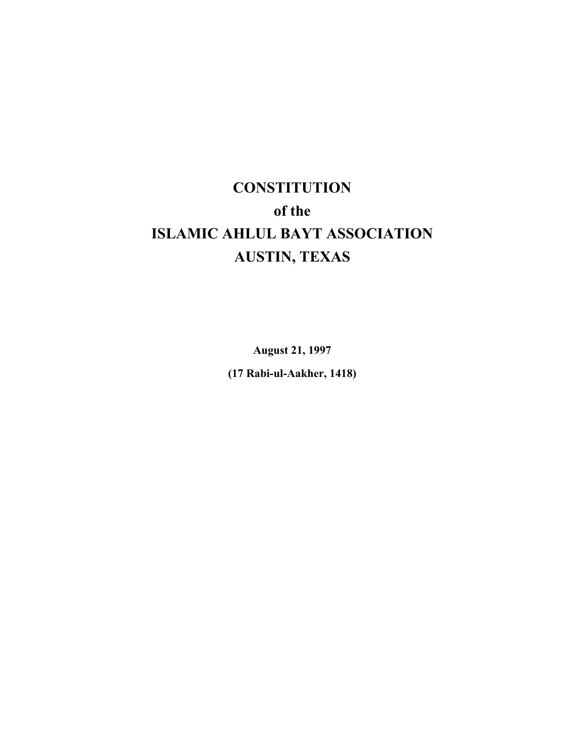# **CONSTITUTION of the ISLAMIC AHLUL BAYT ASSOCIATION AUSTIN, TEXAS**

**August 21, 1997**

**(17 Rabi-ul-Aakher, 1418)**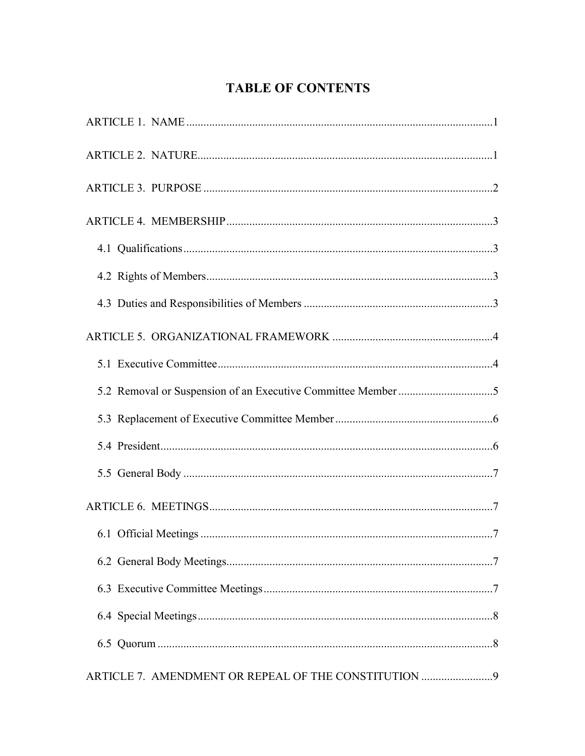# **TABLE OF CONTENTS**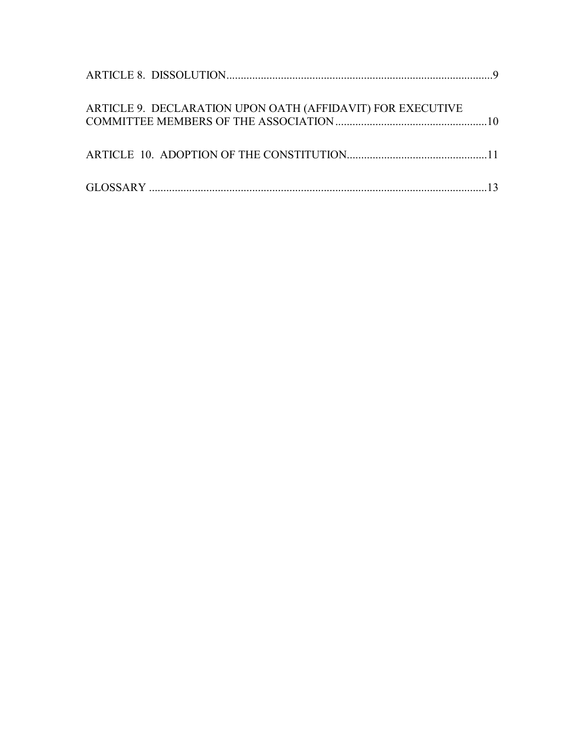| ARTICLE 9. DECLARATION UPON OATH (AFFIDAVIT) FOR EXECUTIVE |  |
|------------------------------------------------------------|--|
|                                                            |  |
|                                                            |  |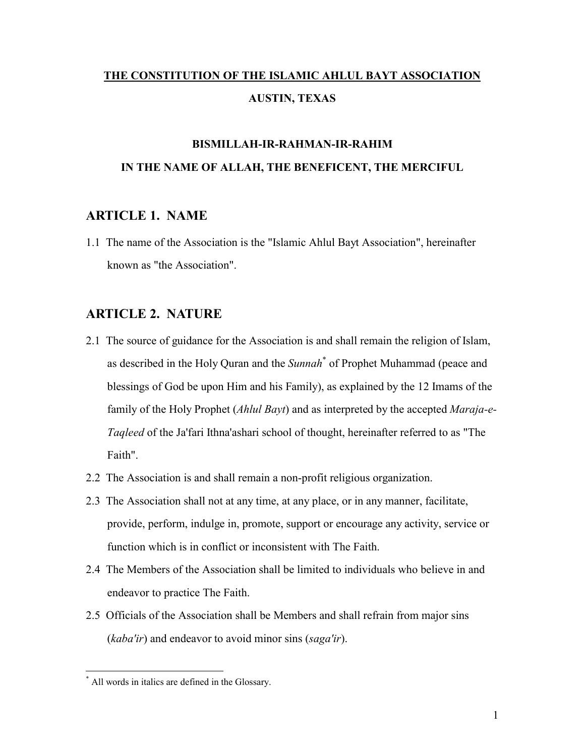# **THE CONSTITUTION OF THE ISLAMIC AHLUL BAYT ASSOCIATION AUSTIN, TEXAS**

# **BISMILLAH-IR-RAHMAN-IR-RAHIM IN THE NAME OF ALLAH, THE BENEFICENT, THE MERCIFUL**

## **ARTICLE 1. NAME**

1.1 The name of the Association is the "Islamic Ahlul Bayt Association", hereinafter known as "the Association".

## **ARTICLE 2. NATURE**

- 2.1 The source of guidance for the Association is and shall remain the religion of Islam, as described in the Holy Quran and the *Sunnah*\* of Prophet Muhammad (peace and blessings of God be upon Him and his Family), as explained by the 12 Imams of the family of the Holy Prophet (*Ahlul Bayt*) and as interpreted by the accepted *Maraja-e-Taqleed* of the Ja'fari Ithna'ashari school of thought, hereinafter referred to as "The Faith".
- 2.2 The Association is and shall remain a non-profit religious organization.
- 2.3 The Association shall not at any time, at any place, or in any manner, facilitate, provide, perform, indulge in, promote, support or encourage any activity, service or function which is in conflict or inconsistent with The Faith.
- 2.4 The Members of the Association shall be limited to individuals who believe in and endeavor to practice The Faith.
- 2.5 Officials of the Association shall be Members and shall refrain from major sins (*kaba'ir*) and endeavor to avoid minor sins (*saga'ir*).

 $\overline{a}$ 

<sup>\*</sup> All words in italics are defined in the Glossary.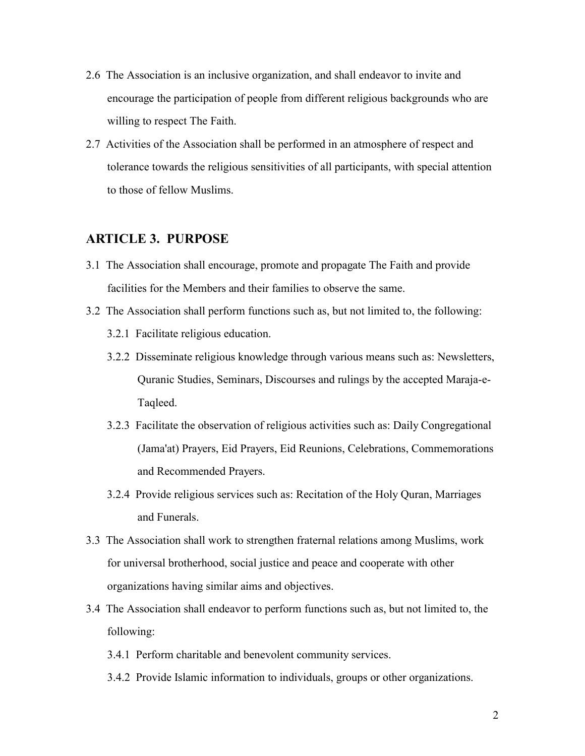- 2.6 The Association is an inclusive organization, and shall endeavor to invite and encourage the participation of people from different religious backgrounds who are willing to respect The Faith.
- 2.7 Activities of the Association shall be performed in an atmosphere of respect and tolerance towards the religious sensitivities of all participants, with special attention to those of fellow Muslims.

## **ARTICLE 3. PURPOSE**

- 3.1 The Association shall encourage, promote and propagate The Faith and provide facilities for the Members and their families to observe the same.
- 3.2 The Association shall perform functions such as, but not limited to, the following:
	- 3.2.1 Facilitate religious education.
	- 3.2.2 Disseminate religious knowledge through various means such as: Newsletters, Quranic Studies, Seminars, Discourses and rulings by the accepted Maraja-e-Taqleed.
	- 3.2.3 Facilitate the observation of religious activities such as: Daily Congregational (Jama'at) Prayers, Eid Prayers, Eid Reunions, Celebrations, Commemorations and Recommended Prayers.
	- 3.2.4 Provide religious services such as: Recitation of the Holy Quran, Marriages and Funerals.
- 3.3 The Association shall work to strengthen fraternal relations among Muslims, work for universal brotherhood, social justice and peace and cooperate with other organizations having similar aims and objectives.
- 3.4 The Association shall endeavor to perform functions such as, but not limited to, the following:
	- 3.4.1 Perform charitable and benevolent community services.
	- 3.4.2 Provide Islamic information to individuals, groups or other organizations.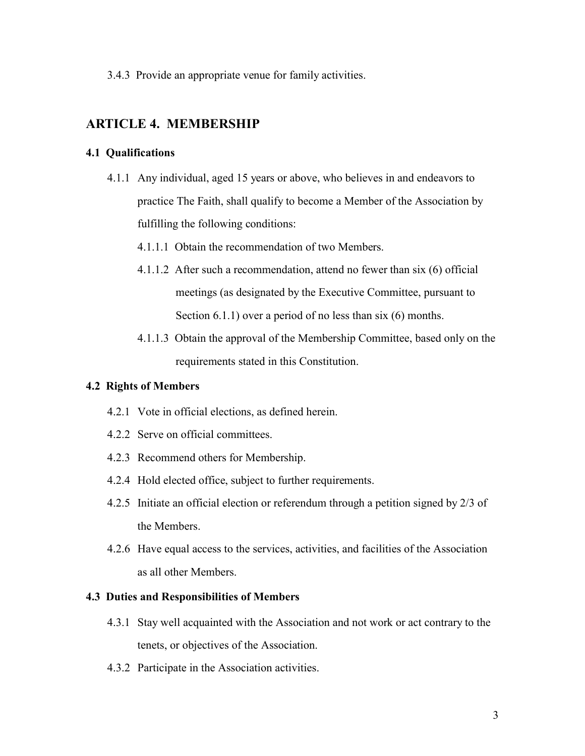3.4.3 Provide an appropriate venue for family activities.

## **ARTICLE 4. MEMBERSHIP**

## **4.1 Qualifications**

- 4.1.1 Any individual, aged 15 years or above, who believes in and endeavors to practice The Faith, shall qualify to become a Member of the Association by fulfilling the following conditions:
	- 4.1.1.1 Obtain the recommendation of two Members.
	- 4.1.1.2 After such a recommendation, attend no fewer than six (6) official meetings (as designated by the Executive Committee, pursuant to Section 6.1.1) over a period of no less than six (6) months.
	- 4.1.1.3 Obtain the approval of the Membership Committee, based only on the requirements stated in this Constitution.

## **4.2 Rights of Members**

- 4.2.1 Vote in official elections, as defined herein.
- 4.2.2 Serve on official committees.
- 4.2.3 Recommend others for Membership.
- 4.2.4 Hold elected office, subject to further requirements.
- 4.2.5 Initiate an official election or referendum through a petition signed by 2/3 of the Members.
- 4.2.6 Have equal access to the services, activities, and facilities of the Association as all other Members.

#### **4.3 Duties and Responsibilities of Members**

- 4.3.1 Stay well acquainted with the Association and not work or act contrary to the tenets, or objectives of the Association.
- 4.3.2 Participate in the Association activities.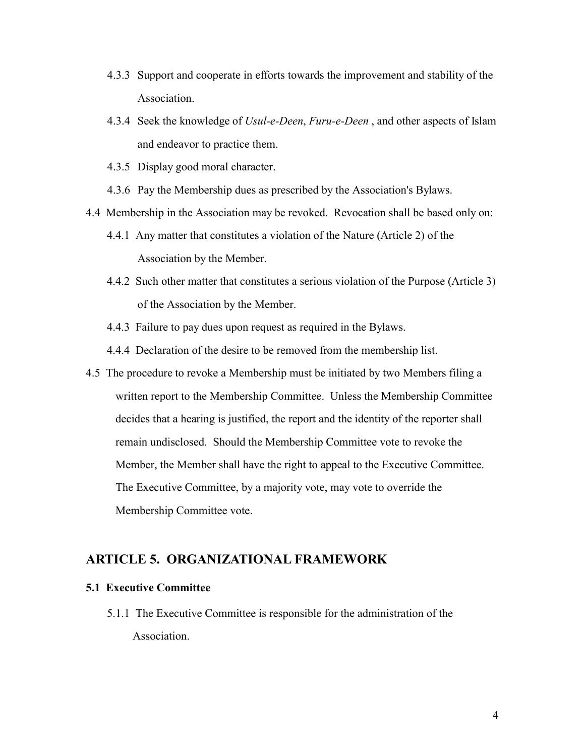- 4.3.3 Support and cooperate in efforts towards the improvement and stability of the Association.
- 4.3.4 Seek the knowledge of *Usul-e-Deen*, *Furu-e-Deen* , and other aspects of Islam and endeavor to practice them.
- 4.3.5 Display good moral character.
- 4.3.6 Pay the Membership dues as prescribed by the Association's Bylaws.
- 4.4 Membership in the Association may be revoked. Revocation shall be based only on:
	- 4.4.1 Any matter that constitutes a violation of the Nature (Article 2) of the Association by the Member.
	- 4.4.2 Such other matter that constitutes a serious violation of the Purpose (Article 3) of the Association by the Member.
	- 4.4.3 Failure to pay dues upon request as required in the Bylaws.
	- 4.4.4 Declaration of the desire to be removed from the membership list.
- 4.5 The procedure to revoke a Membership must be initiated by two Members filing a written report to the Membership Committee. Unless the Membership Committee decides that a hearing is justified, the report and the identity of the reporter shall remain undisclosed. Should the Membership Committee vote to revoke the Member, the Member shall have the right to appeal to the Executive Committee. The Executive Committee, by a majority vote, may vote to override the Membership Committee vote.

## **ARTICLE 5. ORGANIZATIONAL FRAMEWORK**

#### **5.1 Executive Committee**

5.1.1 The Executive Committee is responsible for the administration of the Association.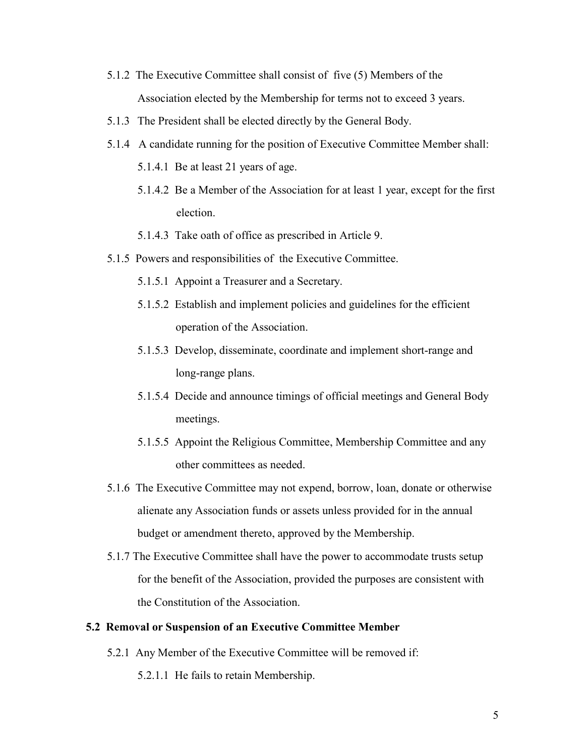- 5.1.2 The Executive Committee shall consist of five (5) Members of the Association elected by the Membership for terms not to exceed 3 years.
- 5.1.3 The President shall be elected directly by the General Body.
- 5.1.4 A candidate running for the position of Executive Committee Member shall:
	- 5.1.4.1 Be at least 21 years of age.
	- 5.1.4.2 Be a Member of the Association for at least 1 year, except for the first election.
	- 5.1.4.3 Take oath of office as prescribed in Article 9.
- 5.1.5 Powers and responsibilities of the Executive Committee.
	- 5.1.5.1 Appoint a Treasurer and a Secretary.
	- 5.1.5.2 Establish and implement policies and guidelines for the efficient operation of the Association.
	- 5.1.5.3 Develop, disseminate, coordinate and implement short-range and long-range plans.
	- 5.1.5.4 Decide and announce timings of official meetings and General Body meetings.
	- 5.1.5.5 Appoint the Religious Committee, Membership Committee and any other committees as needed.
- 5.1.6 The Executive Committee may not expend, borrow, loan, donate or otherwise alienate any Association funds or assets unless provided for in the annual budget or amendment thereto, approved by the Membership.
- 5.1.7 The Executive Committee shall have the power to accommodate trusts setup for the benefit of the Association, provided the purposes are consistent with the Constitution of the Association.

## **5.2 Removal or Suspension of an Executive Committee Member**

- 5.2.1 Any Member of the Executive Committee will be removed if:
	- 5.2.1.1 He fails to retain Membership.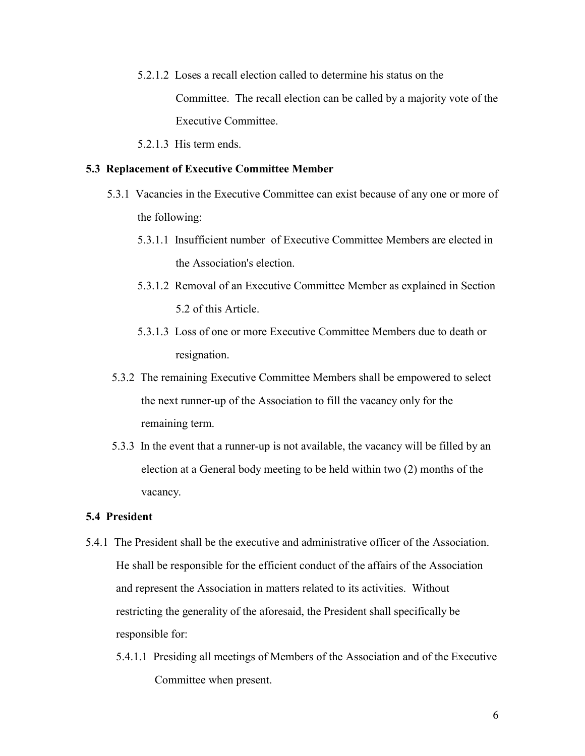- 5.2.1.2 Loses a recall election called to determine his status on the Committee. The recall election can be called by a majority vote of the Executive Committee.
- 5.2.1.3 His term ends.

#### **5.3 Replacement of Executive Committee Member**

- 5.3.1 Vacancies in the Executive Committee can exist because of any one or more of the following:
	- 5.3.1.1 Insufficient number of Executive Committee Members are elected in the Association's election.
	- 5.3.1.2 Removal of an Executive Committee Member as explained in Section 5.2 of this Article.
	- 5.3.1.3 Loss of one or more Executive Committee Members due to death or resignation.
- 5.3.2 The remaining Executive Committee Members shall be empowered to select the next runner-up of the Association to fill the vacancy only for the remaining term.
- 5.3.3 In the event that a runner-up is not available, the vacancy will be filled by an election at a General body meeting to be held within two (2) months of the vacancy.

#### **5.4 President**

- 5.4.1 The President shall be the executive and administrative officer of the Association. He shall be responsible for the efficient conduct of the affairs of the Association and represent the Association in matters related to its activities. Without restricting the generality of the aforesaid, the President shall specifically be responsible for:
	- 5.4.1.1 Presiding all meetings of Members of the Association and of the Executive Committee when present.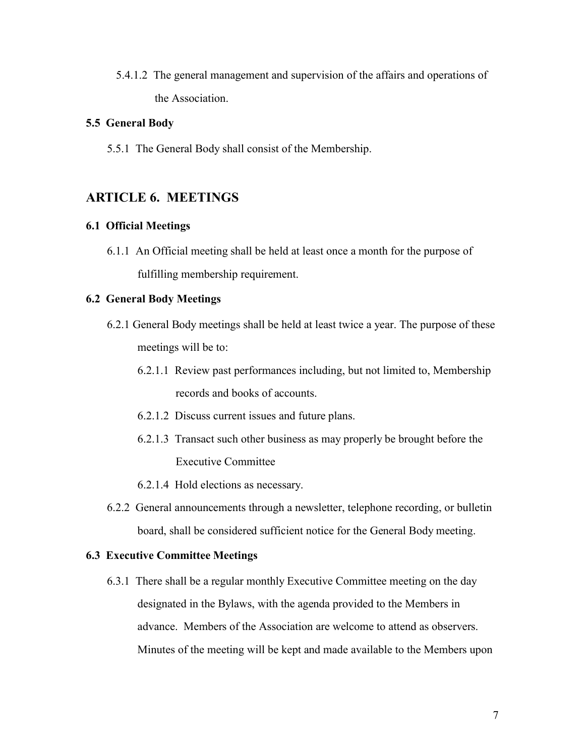5.4.1.2 The general management and supervision of the affairs and operations of the Association.

## **5.5 General Body**

5.5.1 The General Body shall consist of the Membership.

## **ARTICLE 6. MEETINGS**

### **6.1 Official Meetings**

6.1.1 An Official meeting shall be held at least once a month for the purpose of fulfilling membership requirement.

## **6.2 General Body Meetings**

- 6.2.1 General Body meetings shall be held at least twice a year. The purpose of these meetings will be to:
	- 6.2.1.1 Review past performances including, but not limited to, Membership records and books of accounts.
	- 6.2.1.2 Discuss current issues and future plans.
	- 6.2.1.3 Transact such other business as may properly be brought before the Executive Committee
	- 6.2.1.4 Hold elections as necessary.
- 6.2.2 General announcements through a newsletter, telephone recording, or bulletin board, shall be considered sufficient notice for the General Body meeting.

#### **6.3 Executive Committee Meetings**

6.3.1 There shall be a regular monthly Executive Committee meeting on the day designated in the Bylaws, with the agenda provided to the Members in advance. Members of the Association are welcome to attend as observers. Minutes of the meeting will be kept and made available to the Members upon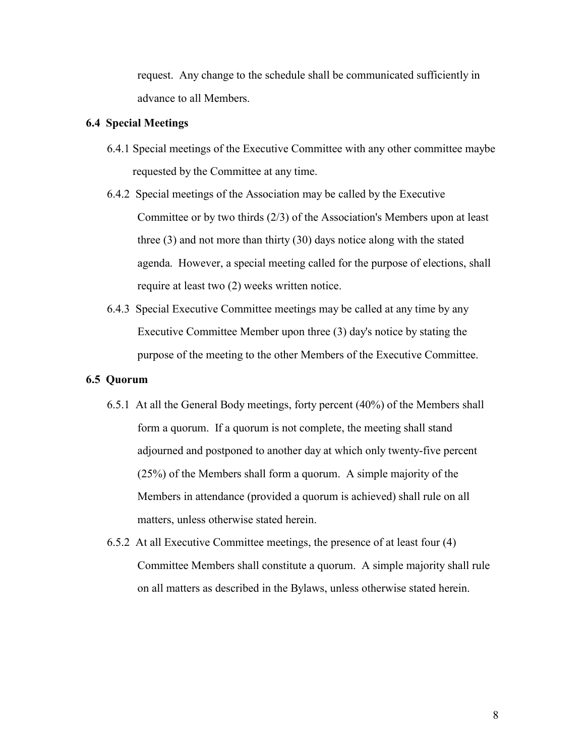request. Any change to the schedule shall be communicated sufficiently in advance to all Members.

### **6.4 Special Meetings**

- 6.4.1 Special meetings of the Executive Committee with any other committee maybe requested by the Committee at any time.
- 6.4.2 Special meetings of the Association may be called by the Executive Committee or by two thirds (2/3) of the Association's Members upon at least three (3) and not more than thirty (30) days notice along with the stated agenda. However, a special meeting called for the purpose of elections, shall require at least two (2) weeks written notice.
- 6.4.3 Special Executive Committee meetings may be called at any time by any Executive Committee Member upon three (3) day's notice by stating the purpose of the meeting to the other Members of the Executive Committee.

#### **6.5 Quorum**

- 6.5.1 At all the General Body meetings, forty percent (40%) of the Members shall form a quorum. If a quorum is not complete, the meeting shall stand adjourned and postponed to another day at which only twenty-five percent (25%) of the Members shall form a quorum. A simple majority of the Members in attendance (provided a quorum is achieved) shall rule on all matters, unless otherwise stated herein.
- 6.5.2 At all Executive Committee meetings, the presence of at least four (4) Committee Members shall constitute a quorum. A simple majority shall rule on all matters as described in the Bylaws, unless otherwise stated herein.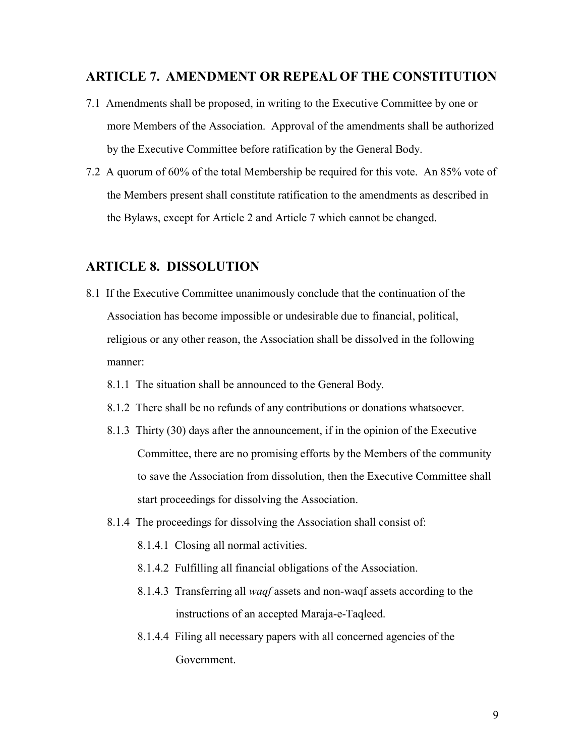## **ARTICLE 7. AMENDMENT OR REPEAL OF THE CONSTITUTION**

- 7.1 Amendments shall be proposed, in writing to the Executive Committee by one or more Members of the Association. Approval of the amendments shall be authorized by the Executive Committee before ratification by the General Body.
- 7.2 A quorum of 60% of the total Membership be required for this vote. An 85% vote of the Members present shall constitute ratification to the amendments as described in the Bylaws, except for Article 2 and Article 7 which cannot be changed.

## **ARTICLE 8. DISSOLUTION**

- 8.1 If the Executive Committee unanimously conclude that the continuation of the Association has become impossible or undesirable due to financial, political, religious or any other reason, the Association shall be dissolved in the following manner:
	- 8.1.1 The situation shall be announced to the General Body.
	- 8.1.2 There shall be no refunds of any contributions or donations whatsoever.
	- 8.1.3 Thirty (30) days after the announcement, if in the opinion of the Executive Committee, there are no promising efforts by the Members of the community to save the Association from dissolution, then the Executive Committee shall start proceedings for dissolving the Association.
	- 8.1.4 The proceedings for dissolving the Association shall consist of:
		- 8.1.4.1 Closing all normal activities.
		- 8.1.4.2 Fulfilling all financial obligations of the Association.
		- 8.1.4.3 Transferring all *waqf* assets and non-waqf assets according to the instructions of an accepted Maraja-e-Taqleed.
		- 8.1.4.4 Filing all necessary papers with all concerned agencies of the Government.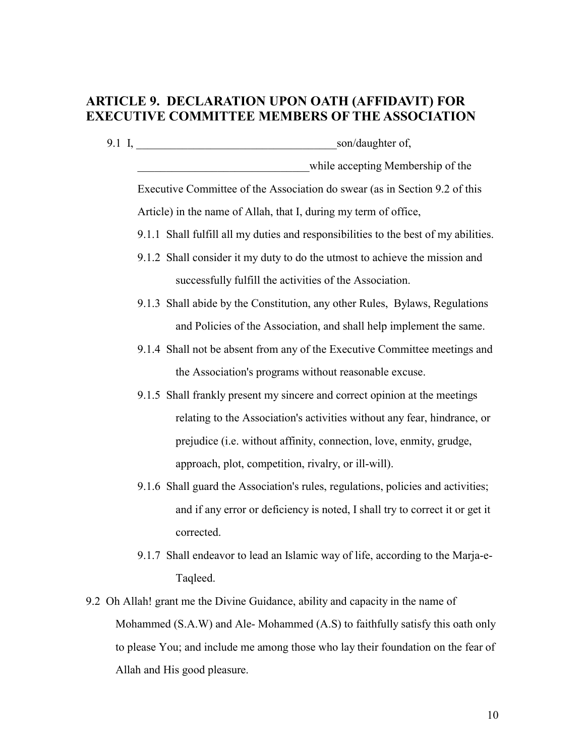# **ARTICLE 9. DECLARATION UPON OATH (AFFIDAVIT) FOR EXECUTIVE COMMITTEE MEMBERS OF THE ASSOCIATION**

9.1 I, \_\_\_\_\_\_\_\_\_\_\_\_\_\_\_\_\_\_\_\_\_\_\_\_\_\_\_\_\_\_\_\_\_\_\_son/daughter of,

while accepting Membership of the

Executive Committee of the Association do swear (as in Section 9.2 of this Article) in the name of Allah, that I, during my term of office,

- 9.1.1 Shall fulfill all my duties and responsibilities to the best of my abilities.
- 9.1.2 Shall consider it my duty to do the utmost to achieve the mission and successfully fulfill the activities of the Association.
- 9.1.3 Shall abide by the Constitution, any other Rules, Bylaws, Regulations and Policies of the Association, and shall help implement the same.
- 9.1.4 Shall not be absent from any of the Executive Committee meetings and the Association's programs without reasonable excuse.
- 9.1.5 Shall frankly present my sincere and correct opinion at the meetings relating to the Association's activities without any fear, hindrance, or prejudice (i.e. without affinity, connection, love, enmity, grudge, approach, plot, competition, rivalry, or ill-will).
- 9.1.6 Shall guard the Association's rules, regulations, policies and activities; and if any error or deficiency is noted, I shall try to correct it or get it corrected.
- 9.1.7 Shall endeavor to lead an Islamic way of life, according to the Marja-e-Taqleed.
- 9.2 Oh Allah! grant me the Divine Guidance, ability and capacity in the name of Mohammed (S.A.W) and Ale- Mohammed (A.S) to faithfully satisfy this oath only to please You; and include me among those who lay their foundation on the fear of Allah and His good pleasure.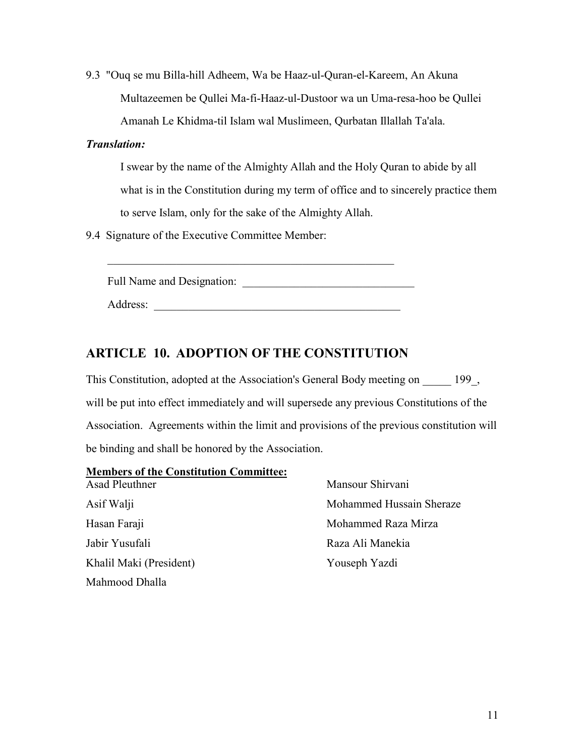9.3 "Ouq se mu Billa-hill Adheem, Wa be Haaz-ul-Quran-el-Kareem, An Akuna Multazeemen be Qullei Ma-fi-Haaz-ul-Dustoor wa un Uma-resa-hoo be Qullei Amanah Le Khidma-til Islam wal Muslimeen, Qurbatan Illallah Ta'ala.

## *Translation:*

I swear by the name of the Almighty Allah and the Holy Quran to abide by all what is in the Constitution during my term of office and to sincerely practice them to serve Islam, only for the sake of the Almighty Allah.

9.4 Signature of the Executive Committee Member:

Full Name and Designation:

 $\mathcal{L}_\text{max}$  , and the contract of the contract of the contract of the contract of the contract of the contract of the contract of the contract of the contract of the contract of the contract of the contract of the contr

Address:

## **ARTICLE 10. ADOPTION OF THE CONSTITUTION**

This Constitution, adopted at the Association's General Body meeting on 199, will be put into effect immediately and will supersede any previous Constitutions of the Association. Agreements within the limit and provisions of the previous constitution will be binding and shall be honored by the Association.

## **Members of the Constitution Committee:**

Jabir Yusufali **Raza Ali Manekia** Khalil Maki (President) Youseph Yazdi Mahmood Dhalla

Asad Pleuthner Mansour Shirvani Asif Walji Mohammed Hussain Sheraze Hasan Faraji **Mohammed Raza Mirza**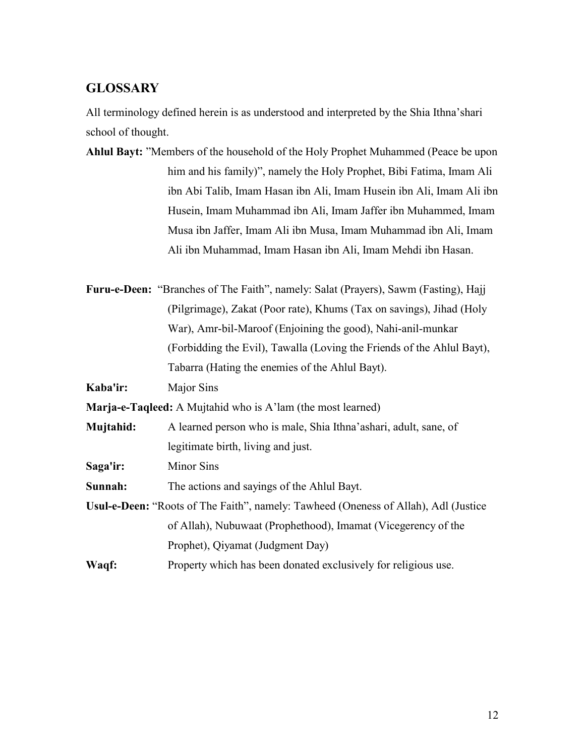## **GLOSSARY**

All terminology defined herein is as understood and interpreted by the Shia Ithna'shari school of thought.

| Ahlul Bayt: "Members of the household of the Holy Prophet Muhammed (Peace be upon |
|-----------------------------------------------------------------------------------|
| him and his family)", namely the Holy Prophet, Bibi Fatima, Imam Ali              |
| ibn Abi Talib, Imam Hasan ibn Ali, Imam Husein ibn Ali, Imam Ali ibn              |
| Husein, Imam Muhammad ibn Ali, Imam Jaffer ibn Muhammed, Imam                     |
| Musa ibn Jaffer, Imam Ali ibn Musa, Imam Muhammad ibn Ali, Imam                   |
| Ali ibn Muhammad, Imam Hasan ibn Ali, Imam Mehdi ibn Hasan.                       |

**Furu-e-Deen:** "Branches of The Faith", namely: Salat (Prayers), Sawm (Fasting), Hajj (Pilgrimage), Zakat (Poor rate), Khums (Tax on savings), Jihad (Holy War), Amr-bil-Maroof (Enjoining the good), Nahi-anil-munkar (Forbidding the Evil), Tawalla (Loving the Friends of the Ahlul Bayt), Tabarra (Hating the enemies of the Ahlul Bayt).

**Kaba'ir:** Major Sins

**Marja-e-Taqleed:** A Mujtahid who is A'lam (the most learned)

- **Mujtahid:** A learned person who is male, Shia Ithna'ashari, adult, sane, of legitimate birth, living and just.
- **Saga'ir:** Minor Sins

**Sunnah:** The actions and sayings of the Ahlul Bayt.

- **Usul-e-Deen:** "Roots of The Faith", namely: Tawheed (Oneness of Allah), Adl (Justice of Allah), Nubuwaat (Prophethood), Imamat (Vicegerency of the Prophet), Qiyamat (Judgment Day)
- **Waqf:** Property which has been donated exclusively for religious use.